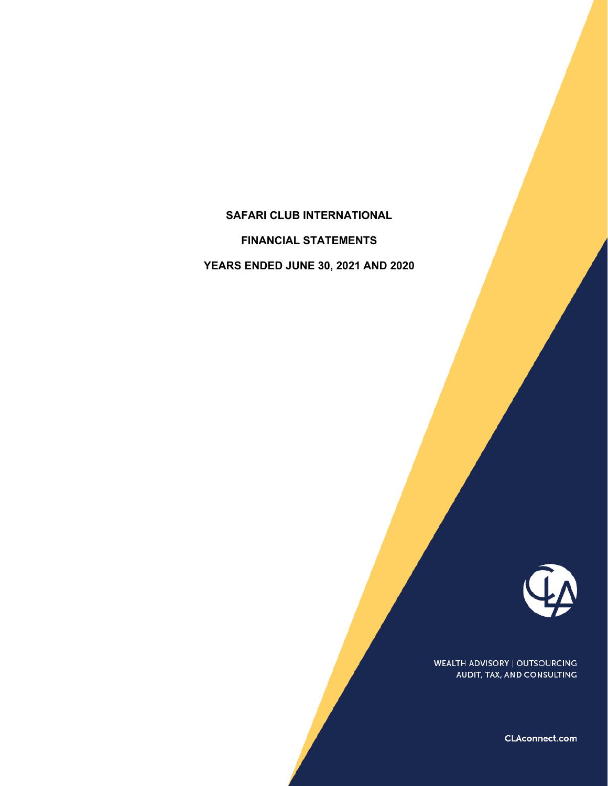# **SAFARI CLUB INTERNATIONAL**

**FINANCIAL STATEMENTS**

**YEARS ENDED JUNE 30, 2021 AND 2020**



WEALTH ADVISORY | OUTSOURCING AUDIT, TAX, AND CONSULTING

CLAconnect.com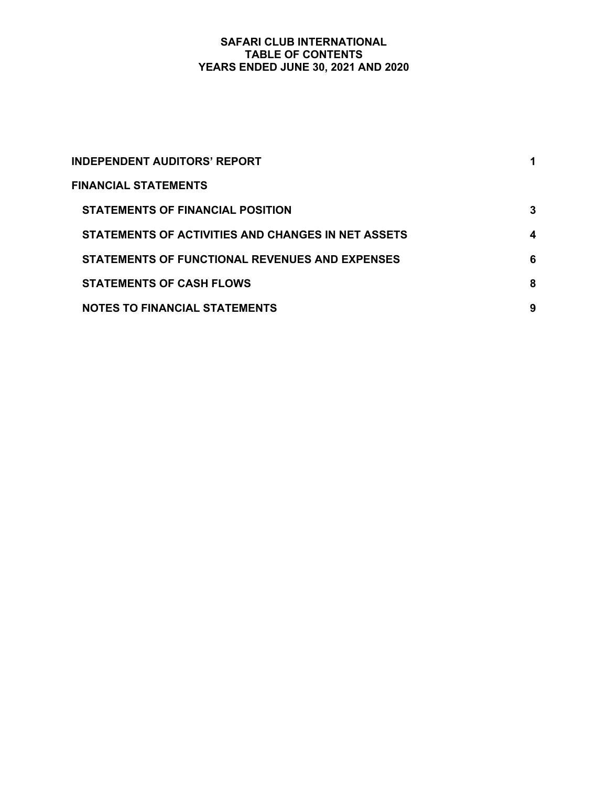# **SAFARI CLUB INTERNATIONAL TABLE OF CONTENTS YEARS ENDED JUNE 30, 2021 AND 2020**

| INDEPENDENT AUDITORS' REPORT                       |   |
|----------------------------------------------------|---|
| <b>FINANCIAL STATEMENTS</b>                        |   |
| <b>STATEMENTS OF FINANCIAL POSITION</b>            | 3 |
| STATEMENTS OF ACTIVITIES AND CHANGES IN NET ASSETS | 4 |
| STATEMENTS OF FUNCTIONAL REVENUES AND EXPENSES     | 6 |
| <b>STATEMENTS OF CASH FLOWS</b>                    | 8 |
| <b>NOTES TO FINANCIAL STATEMENTS</b>               | 9 |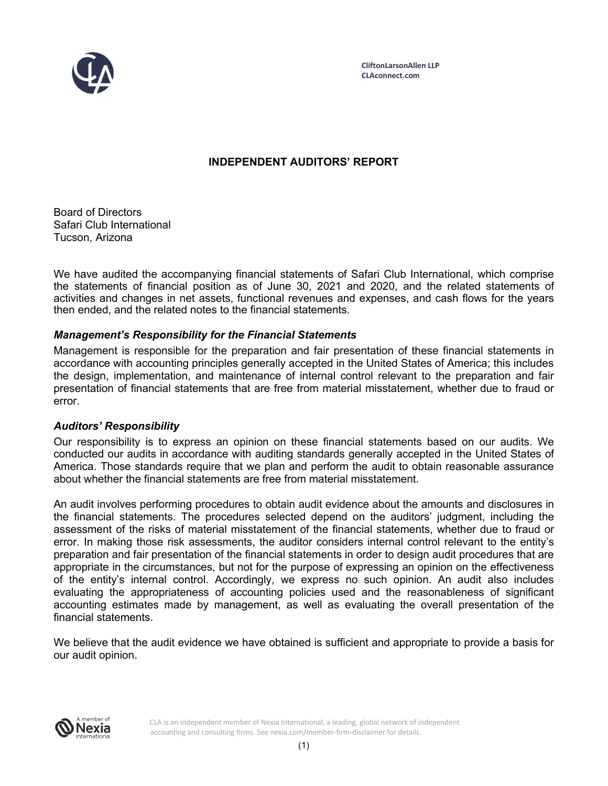

**CliftonLarsonAllen LLP CLAconnect.com**

# **INDEPENDENT AUDITORS' REPORT**

Board of Directors Safari Club International Tucson, Arizona

We have audited the accompanying financial statements of Safari Club International, which comprise the statements of financial position as of June 30, 2021 and 2020, and the related statements of activities and changes in net assets, functional revenues and expenses, and cash flows for the years then ended, and the related notes to the financial statements.

# *Management's Responsibility for the Financial Statements*

Management is responsible for the preparation and fair presentation of these financial statements in accordance with accounting principles generally accepted in the United States of America; this includes the design, implementation, and maintenance of internal control relevant to the preparation and fair presentation of financial statements that are free from material misstatement, whether due to fraud or error.

# *Auditors' Responsibility*

Our responsibility is to express an opinion on these financial statements based on our audits. We conducted our audits in accordance with auditing standards generally accepted in the United States of America. Those standards require that we plan and perform the audit to obtain reasonable assurance about whether the financial statements are free from material misstatement.

An audit involves performing procedures to obtain audit evidence about the amounts and disclosures in the financial statements. The procedures selected depend on the auditors' judgment, including the assessment of the risks of material misstatement of the financial statements, whether due to fraud or error. In making those risk assessments, the auditor considers internal control relevant to the entity's preparation and fair presentation of the financial statements in order to design audit procedures that are appropriate in the circumstances, but not for the purpose of expressing an opinion on the effectiveness of the entity's internal control. Accordingly, we express no such opinion. An audit also includes evaluating the appropriateness of accounting policies used and the reasonableness of significant accounting estimates made by management, as well as evaluating the overall presentation of the financial statements.

We believe that the audit evidence we have obtained is sufficient and appropriate to provide a basis for our audit opinion.



CLA is an independent member of Nexia International, a leading, global network of independent accounting and consulting firms. See nexia.com/member-firm-disclaimer for details.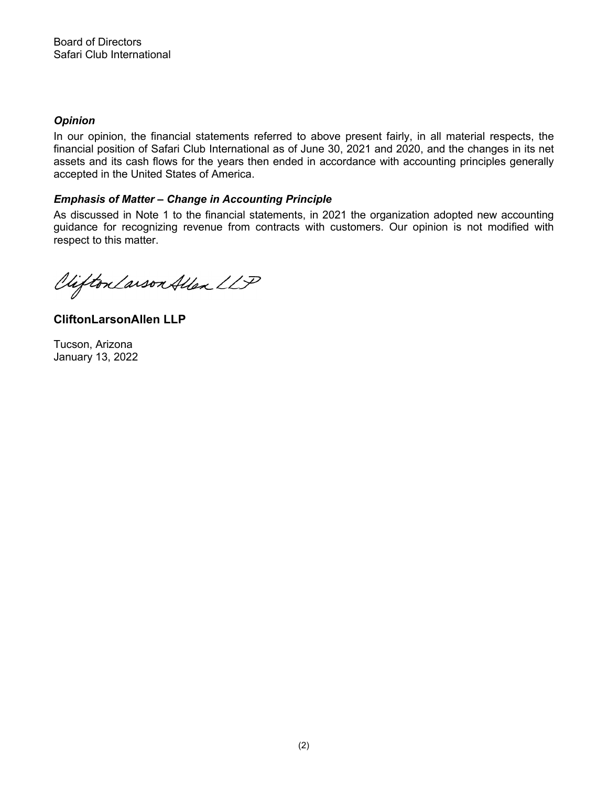# *Opinion*

In our opinion, the financial statements referred to above present fairly, in all material respects, the financial position of Safari Club International as of June 30, 2021 and 2020, and the changes in its net assets and its cash flows for the years then ended in accordance with accounting principles generally accepted in the United States of America.

# *Emphasis of Matter – Change in Accounting Principle*

As discussed in Note 1 to the financial statements, in 2021 the organization adopted new accounting guidance for recognizing revenue from contracts with customers. Our opinion is not modified with respect to this matter.

Viifton Larson Allen LLP

**CliftonLarsonAllen LLP**

Tucson, Arizona January 13, 2022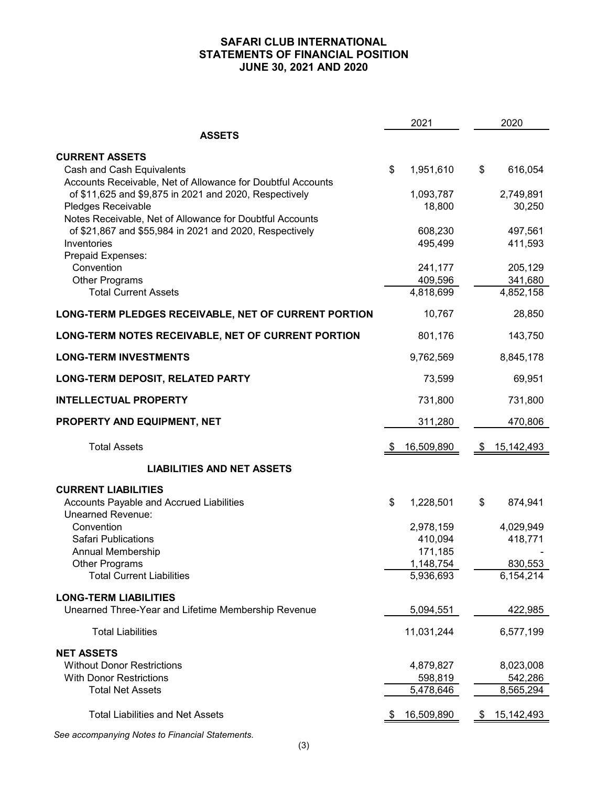# **SAFARI CLUB INTERNATIONAL STATEMENTS OF FINANCIAL POSITION JUNE 30, 2021 AND 2020**

|                                                                                          |    | 2021                   | 2020                 |
|------------------------------------------------------------------------------------------|----|------------------------|----------------------|
| <b>ASSETS</b>                                                                            |    |                        |                      |
| <b>CURRENT ASSETS</b>                                                                    |    |                        |                      |
| Cash and Cash Equivalents<br>Accounts Receivable, Net of Allowance for Doubtful Accounts | \$ | 1,951,610              | \$<br>616,054        |
| of \$11,625 and \$9,875 in 2021 and 2020, Respectively                                   |    | 1,093,787              | 2,749,891            |
| Pledges Receivable<br>Notes Receivable, Net of Allowance for Doubtful Accounts           |    | 18,800                 | 30,250               |
| of \$21,867 and \$55,984 in 2021 and 2020, Respectively                                  |    | 608,230                | 497,561              |
| Inventories<br>Prepaid Expenses:                                                         |    | 495,499                | 411,593              |
| Convention                                                                               |    | 241,177                | 205,129              |
| Other Programs                                                                           |    | 409,596                | 341,680              |
| <b>Total Current Assets</b>                                                              |    | 4,818,699              | 4,852,158            |
| LONG-TERM PLEDGES RECEIVABLE, NET OF CURRENT PORTION                                     |    | 10,767                 | 28,850               |
| LONG-TERM NOTES RECEIVABLE, NET OF CURRENT PORTION                                       |    | 801,176                | 143,750              |
| <b>LONG-TERM INVESTMENTS</b>                                                             |    | 9,762,569              | 8,845,178            |
| LONG-TERM DEPOSIT, RELATED PARTY                                                         |    | 73,599                 | 69,951               |
| <b>INTELLECTUAL PROPERTY</b>                                                             |    | 731,800                | 731,800              |
| PROPERTY AND EQUIPMENT, NET                                                              |    | 311,280                | 470,806              |
| <b>Total Assets</b>                                                                      | S. | 16,509,890             | \$<br>15,142,493     |
| <b>LIABILITIES AND NET ASSETS</b>                                                        |    |                        |                      |
| <b>CURRENT LIABILITIES</b>                                                               |    |                        |                      |
| Accounts Payable and Accrued Liabilities<br><b>Unearned Revenue:</b>                     | \$ | 1,228,501              | \$<br>874,941        |
| Convention                                                                               |    | 2,978,159              | 4,029,949            |
| Safari Publications                                                                      |    | 410,094                | 418,771              |
| Annual Membership                                                                        |    | 171,185                |                      |
| <b>Other Programs</b><br><b>Total Current Liabilities</b>                                |    | 1,148,754<br>5,936,693 | 830,553<br>6,154,214 |
|                                                                                          |    |                        |                      |
| <b>LONG-TERM LIABILITIES</b>                                                             |    |                        |                      |
| Unearned Three-Year and Lifetime Membership Revenue                                      |    | 5,094,551              | 422,985              |
| <b>Total Liabilities</b>                                                                 |    | 11,031,244             | 6,577,199            |
| <b>NET ASSETS</b>                                                                        |    |                        |                      |
| <b>Without Donor Restrictions</b>                                                        |    | 4,879,827              | 8,023,008            |
| <b>With Donor Restrictions</b><br><b>Total Net Assets</b>                                |    | 598,819<br>5,478,646   | 542,286<br>8,565,294 |
| <b>Total Liabilities and Net Assets</b>                                                  |    |                        |                      |
|                                                                                          |    | 16,509,890             | 15,142,493           |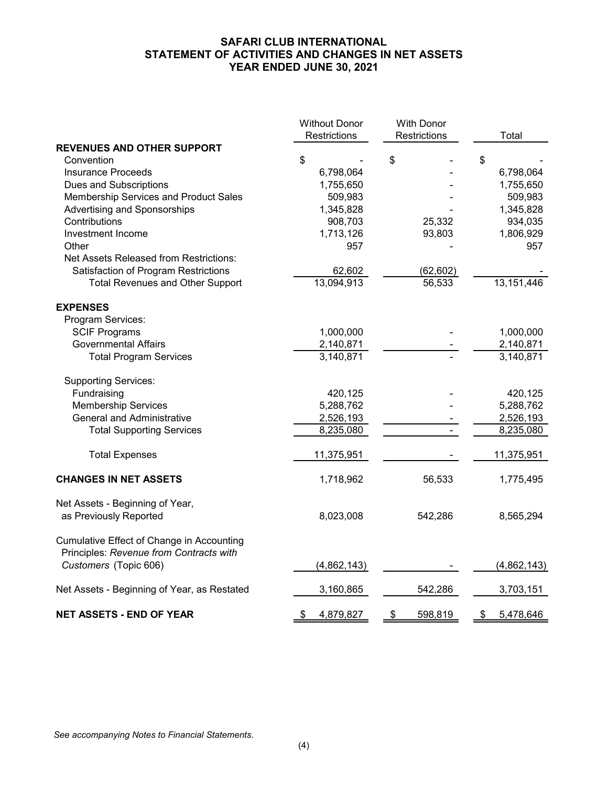### **SAFARI CLUB INTERNATIONAL STATEMENT OF ACTIVITIES AND CHANGES IN NET ASSETS YEAR ENDED JUNE 30, 2021**

|                                                                                      | <b>Without Donor</b><br>Restrictions | <b>With Donor</b><br>Restrictions | Total           |  |  |
|--------------------------------------------------------------------------------------|--------------------------------------|-----------------------------------|-----------------|--|--|
| <b>REVENUES AND OTHER SUPPORT</b>                                                    |                                      |                                   |                 |  |  |
| Convention                                                                           | \$                                   | \$                                | \$              |  |  |
| <b>Insurance Proceeds</b>                                                            | 6,798,064                            |                                   | 6,798,064       |  |  |
| <b>Dues and Subscriptions</b>                                                        | 1,755,650                            |                                   | 1,755,650       |  |  |
| Membership Services and Product Sales                                                | 509,983                              |                                   | 509,983         |  |  |
| Advertising and Sponsorships                                                         | 1,345,828                            |                                   | 1,345,828       |  |  |
| Contributions                                                                        | 908,703                              | 25,332                            | 934,035         |  |  |
| Investment Income                                                                    | 1,713,126                            | 93,803                            | 1,806,929       |  |  |
| Other                                                                                | 957                                  |                                   | 957             |  |  |
| Net Assets Released from Restrictions:                                               |                                      |                                   |                 |  |  |
| Satisfaction of Program Restrictions                                                 | 62,602                               | (62, 602)                         |                 |  |  |
| <b>Total Revenues and Other Support</b>                                              | 13,094,913                           | 56,533                            | 13, 151, 446    |  |  |
| <b>EXPENSES</b>                                                                      |                                      |                                   |                 |  |  |
| Program Services:                                                                    |                                      |                                   |                 |  |  |
| <b>SCIF Programs</b>                                                                 | 1,000,000                            |                                   | 1,000,000       |  |  |
| <b>Governmental Affairs</b>                                                          | 2,140,871                            |                                   | 2,140,871       |  |  |
| <b>Total Program Services</b>                                                        | 3,140,871                            |                                   | 3,140,871       |  |  |
| <b>Supporting Services:</b>                                                          |                                      |                                   |                 |  |  |
| Fundraising                                                                          | 420,125                              |                                   | 420,125         |  |  |
| <b>Membership Services</b>                                                           | 5,288,762                            |                                   | 5,288,762       |  |  |
| <b>General and Administrative</b>                                                    | 2,526,193                            |                                   | 2,526,193       |  |  |
| <b>Total Supporting Services</b>                                                     | 8,235,080                            |                                   | 8,235,080       |  |  |
| <b>Total Expenses</b>                                                                | 11,375,951                           |                                   | 11,375,951      |  |  |
| <b>CHANGES IN NET ASSETS</b>                                                         | 1,718,962                            | 56,533                            | 1,775,495       |  |  |
| Net Assets - Beginning of Year,                                                      |                                      |                                   |                 |  |  |
| as Previously Reported                                                               | 8,023,008                            | 542,286                           | 8,565,294       |  |  |
| Cumulative Effect of Change in Accounting<br>Principles: Revenue from Contracts with |                                      |                                   |                 |  |  |
| Customers (Topic 606)                                                                | (4,862,143)                          |                                   | (4,862,143)     |  |  |
| Net Assets - Beginning of Year, as Restated                                          | 3,160,865                            | 542,286                           | 3,703,151       |  |  |
| <b>NET ASSETS - END OF YEAR</b>                                                      | 4,879,827<br>\$                      | 598,819<br>$\frac{1}{2}$          | 5,478,646<br>\$ |  |  |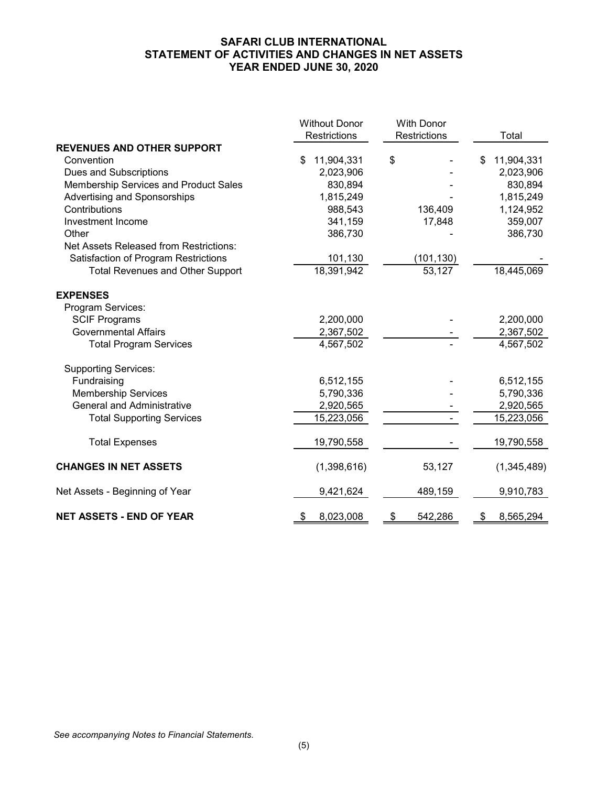### **SAFARI CLUB INTERNATIONAL STATEMENT OF ACTIVITIES AND CHANGES IN NET ASSETS YEAR ENDED JUNE 30, 2020**

|                                         | <b>Without Donor</b> | <b>With Donor</b> |                  |  |
|-----------------------------------------|----------------------|-------------------|------------------|--|
|                                         | Restrictions         | Restrictions      | Total            |  |
| <b>REVENUES AND OTHER SUPPORT</b>       |                      |                   |                  |  |
| Convention                              | 11,904,331<br>\$     | \$                | 11,904,331<br>\$ |  |
| Dues and Subscriptions                  | 2,023,906            |                   | 2,023,906        |  |
| Membership Services and Product Sales   | 830,894              |                   | 830,894          |  |
| Advertising and Sponsorships            | 1,815,249            |                   | 1,815,249        |  |
| Contributions                           | 988,543              | 136,409           | 1,124,952        |  |
| Investment Income                       | 341,159              | 17,848            | 359,007          |  |
| Other                                   | 386,730              |                   | 386,730          |  |
| Net Assets Released from Restrictions:  |                      |                   |                  |  |
| Satisfaction of Program Restrictions    | 101,130              | (101,130)         |                  |  |
| <b>Total Revenues and Other Support</b> | 18,391,942           | 53,127            | 18,445,069       |  |
| <b>EXPENSES</b>                         |                      |                   |                  |  |
| Program Services:                       |                      |                   |                  |  |
| <b>SCIF Programs</b>                    | 2,200,000            |                   | 2,200,000        |  |
| <b>Governmental Affairs</b>             | 2,367,502            |                   | 2,367,502        |  |
| <b>Total Program Services</b>           | 4,567,502            |                   | 4,567,502        |  |
| <b>Supporting Services:</b>             |                      |                   |                  |  |
| Fundraising                             | 6,512,155            |                   | 6,512,155        |  |
| <b>Membership Services</b>              | 5,790,336            |                   | 5,790,336        |  |
| <b>General and Administrative</b>       | 2,920,565            |                   | 2,920,565        |  |
| <b>Total Supporting Services</b>        | 15,223,056           |                   | 15,223,056       |  |
| <b>Total Expenses</b>                   | 19,790,558           |                   | 19,790,558       |  |
| <b>CHANGES IN NET ASSETS</b>            | (1,398,616)          | 53,127            | (1,345,489)      |  |
| Net Assets - Beginning of Year          | 9,421,624            | 489,159           | 9,910,783        |  |
| <b>NET ASSETS - END OF YEAR</b>         | 8,023,008<br>\$      | 542,286<br>\$     | 8,565,294<br>\$  |  |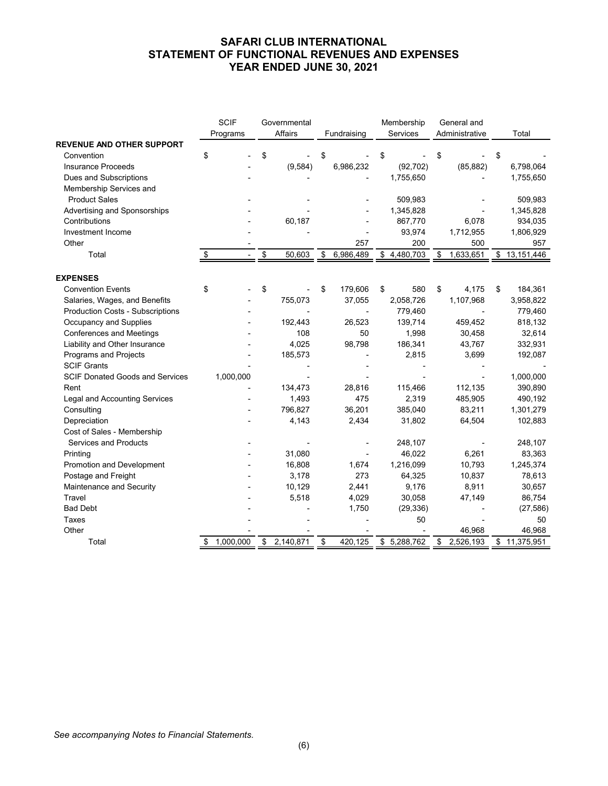# **SAFARI CLUB INTERNATIONAL STATEMENT OF FUNCTIONAL REVENUES AND EXPENSES YEAR ENDED JUNE 30, 2021**

|                                         | <b>SCIF</b>          | Governmental    |                 | Membership  | General and     |                    |
|-----------------------------------------|----------------------|-----------------|-----------------|-------------|-----------------|--------------------|
|                                         | Programs             | Affairs         | Fundraising     | Services    | Administrative  | Total              |
| <b>REVENUE AND OTHER SUPPORT</b>        |                      |                 |                 |             |                 |                    |
| Convention                              | \$                   | \$              | \$              | \$          | \$              | \$                 |
| <b>Insurance Proceeds</b>               |                      | (9,584)         | 6,986,232       | (92, 702)   | (85, 882)       | 6,798,064          |
| Dues and Subscriptions                  |                      |                 |                 | 1,755,650   |                 | 1,755,650          |
| Membership Services and                 |                      |                 |                 |             |                 |                    |
| <b>Product Sales</b>                    |                      |                 |                 | 509,983     |                 | 509,983            |
| Advertising and Sponsorships            |                      |                 |                 | 1,345,828   |                 | 1,345,828          |
| Contributions                           |                      | 60,187          |                 | 867,770     | 6,078           | 934,035            |
| Investment Income                       |                      |                 |                 | 93,974      | 1,712,955       | 1,806,929          |
| Other                                   |                      |                 | 257             | 200         | 500             | 957                |
| Total                                   | \$<br>$\blacksquare$ | \$<br>50,603    | 6,986,489<br>\$ | \$4,480,703 | \$<br>1,633,651 | 13, 151, 446<br>\$ |
| <b>EXPENSES</b>                         |                      |                 |                 |             |                 |                    |
| <b>Convention Events</b>                | \$                   | \$              | \$<br>179,606   | 580<br>\$   | \$<br>4,175     | 184,361<br>\$      |
| Salaries, Wages, and Benefits           |                      | 755,073         | 37,055          | 2,058,726   | 1,107,968       | 3,958,822          |
| <b>Production Costs - Subscriptions</b> |                      |                 |                 | 779,460     |                 | 779,460            |
| Occupancy and Supplies                  |                      | 192,443         | 26,523          | 139,714     | 459,452         | 818,132            |
| Conferences and Meetings                |                      | 108             | 50              | 1,998       | 30,458          | 32,614             |
| Liability and Other Insurance           |                      | 4,025           | 98,798          | 186,341     | 43,767          | 332,931            |
| Programs and Projects                   |                      | 185,573         |                 | 2,815       | 3,699           | 192,087            |
| <b>SCIF Grants</b>                      |                      |                 |                 |             |                 |                    |
| <b>SCIF Donated Goods and Services</b>  | 1,000,000            |                 |                 |             |                 | 1,000,000          |
| Rent                                    |                      | 134,473         | 28,816          | 115,466     | 112,135         | 390,890            |
| <b>Legal and Accounting Services</b>    |                      | 1,493           | 475             | 2,319       | 485,905         | 490,192            |
| Consulting                              |                      | 796,827         | 36,201          | 385,040     | 83,211          | 1,301,279          |
| Depreciation                            |                      | 4,143           | 2,434           | 31,802      | 64,504          | 102,883            |
| Cost of Sales - Membership              |                      |                 |                 |             |                 |                    |
| Services and Products                   |                      |                 |                 | 248,107     |                 | 248,107            |
| Printing                                |                      | 31,080          |                 | 46,022      | 6,261           | 83,363             |
| Promotion and Development               |                      | 16,808          | 1,674           | 1,216,099   | 10,793          | 1,245,374          |
| Postage and Freight                     |                      | 3,178           | 273             | 64,325      | 10,837          | 78,613             |
| Maintenance and Security                |                      | 10,129          | 2,441           | 9,176       | 8,911           | 30,657             |
| Travel                                  |                      | 5,518           | 4,029           | 30,058      | 47,149          | 86,754             |
| <b>Bad Debt</b>                         |                      |                 | 1,750           | (29, 336)   |                 | (27, 586)          |
| Taxes                                   |                      |                 |                 | 50          |                 | 50                 |
| Other                                   |                      |                 |                 |             | 46,968          | 46,968             |
| Total                                   | 1,000,000<br>\$      | \$<br>2,140,871 | \$<br>420,125   | \$5,288,762 | 2,526,193<br>\$ | \$<br>11,375,951   |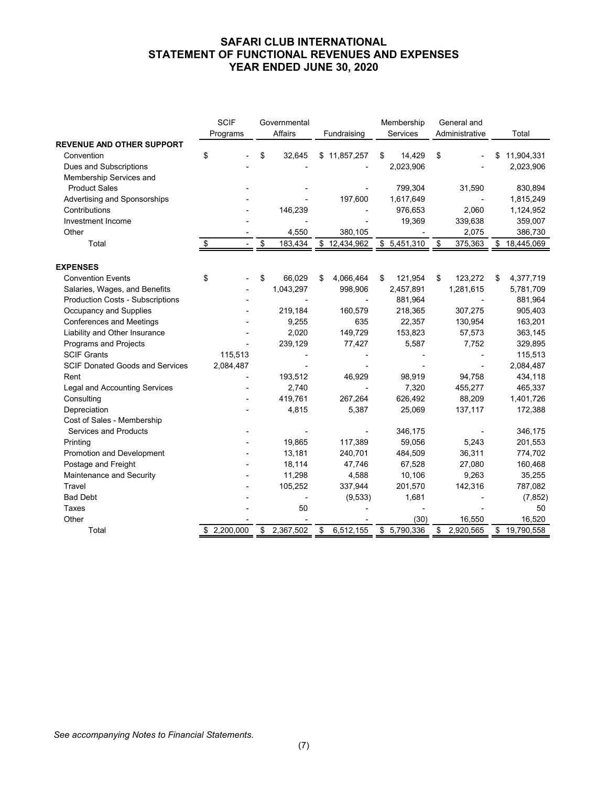# **SAFARI CLUB INTERNATIONAL STATEMENT OF FUNCTIONAL REVENUES AND EXPENSES YEAR ENDED JUNE 30, 2020**

|                                        | <b>SCIF</b>          | Governmental    |                 | Membership    | General and     |                  |
|----------------------------------------|----------------------|-----------------|-----------------|---------------|-----------------|------------------|
|                                        | Programs             | Affairs         | Fundraising     | Services      | Administrative  | Total            |
| <b>REVENUE AND OTHER SUPPORT</b>       |                      |                 |                 |               |                 |                  |
| Convention                             | \$                   | \$<br>32,645    | \$11,857,257    | 14,429<br>\$  | \$              | 11,904,331<br>\$ |
| Dues and Subscriptions                 |                      |                 |                 | 2,023,906     |                 | 2,023,906        |
| Membership Services and                |                      |                 |                 |               |                 |                  |
| <b>Product Sales</b>                   |                      |                 |                 | 799,304       | 31,590          | 830,894          |
| Advertising and Sponsorships           |                      |                 | 197,600         | 1,617,649     |                 | 1,815,249        |
| Contributions                          |                      | 146,239         |                 | 976,653       | 2,060           | 1,124,952        |
| Investment Income                      |                      |                 |                 | 19,369        | 339,638         | 359,007          |
| Other                                  |                      | 4,550           | 380,105         |               | 2,075           | 386,730          |
| Total                                  | \$<br>$\blacksquare$ | \$<br>183,434   | \$12,434,962    | \$5,451,310   | \$<br>375,363   | \$18,445,069     |
|                                        |                      |                 |                 |               |                 |                  |
| <b>EXPENSES</b>                        |                      |                 |                 |               |                 |                  |
| <b>Convention Events</b>               | \$                   | \$<br>66,029    | 4,066,464<br>\$ | 121,954<br>\$ | \$<br>123,272   | 4,377,719<br>\$  |
| Salaries, Wages, and Benefits          |                      | 1,043,297       | 998,906         | 2,457,891     | 1,281,615       | 5,781,709        |
| Production Costs - Subscriptions       |                      |                 | $\blacksquare$  | 881,964       |                 | 881,964          |
| Occupancy and Supplies                 |                      | 219,184         | 160,579         | 218,365       | 307,275         | 905,403          |
| Conferences and Meetings               |                      | 9,255           | 635             | 22,357        | 130,954         | 163,201          |
| Liability and Other Insurance          |                      | 2,020           | 149,729         | 153,823       | 57,573          | 363,145          |
| Programs and Projects                  |                      | 239,129         | 77,427          | 5,587         | 7,752           | 329,895          |
| <b>SCIF Grants</b>                     | 115,513              |                 |                 |               |                 | 115,513          |
| <b>SCIF Donated Goods and Services</b> | 2,084,487            |                 |                 |               |                 | 2,084,487        |
| Rent                                   |                      | 193,512         | 46,929          | 98,919        | 94,758          | 434,118          |
| Legal and Accounting Services          |                      | 2,740           |                 | 7,320         | 455,277         | 465,337          |
| Consulting                             |                      | 419,761         | 267,264         | 626,492       | 88,209          | 1,401,726        |
| Depreciation                           |                      | 4,815           | 5,387           | 25,069        | 137,117         | 172,388          |
| Cost of Sales - Membership             |                      |                 |                 |               |                 |                  |
| <b>Services and Products</b>           |                      |                 |                 | 346,175       |                 | 346,175          |
| Printing                               |                      | 19,865          | 117,389         | 59,056        | 5,243           | 201,553          |
| Promotion and Development              |                      | 13,181          | 240,701         | 484,509       | 36,311          | 774,702          |
| Postage and Freight                    |                      | 18,114          | 47,746          | 67,528        | 27,080          | 160,468          |
| Maintenance and Security               |                      | 11,298          | 4,588           | 10,106        | 9,263           | 35,255           |
| Travel                                 |                      | 105,252         | 337,944         | 201,570       | 142,316         | 787,082          |
| <b>Bad Debt</b>                        |                      |                 | (9,533)         | 1,681         |                 | (7, 852)         |
| Taxes                                  |                      | 50              |                 |               |                 | 50               |
| Other                                  |                      |                 |                 | (30)          | 16,550          | 16,520           |
| Total                                  | \$2,200,000          | \$<br>2,367,502 | 6,512,155<br>\$ | \$5,790,336   | 2,920,565<br>\$ | \$19,790,558     |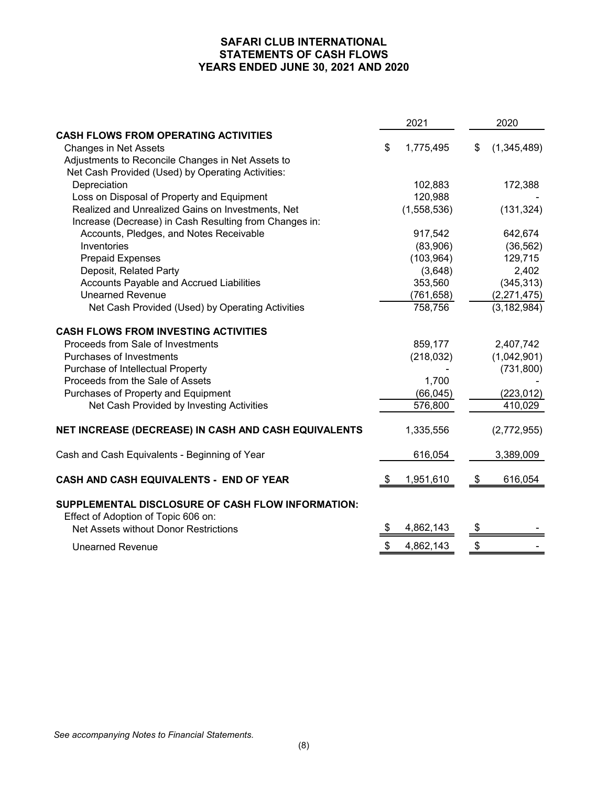# **SAFARI CLUB INTERNATIONAL STATEMENTS OF CASH FLOWS YEARS ENDED JUNE 30, 2021 AND 2020**

|                                                                                          |    | 2021        |    | 2020          |  |
|------------------------------------------------------------------------------------------|----|-------------|----|---------------|--|
| <b>CASH FLOWS FROM OPERATING ACTIVITIES</b>                                              |    |             |    |               |  |
| <b>Changes in Net Assets</b>                                                             | \$ | 1,775,495   | \$ | (1,345,489)   |  |
| Adjustments to Reconcile Changes in Net Assets to                                        |    |             |    |               |  |
| Net Cash Provided (Used) by Operating Activities:                                        |    |             |    |               |  |
| Depreciation                                                                             |    | 102,883     |    | 172,388       |  |
| Loss on Disposal of Property and Equipment                                               |    | 120,988     |    |               |  |
| Realized and Unrealized Gains on Investments, Net                                        |    | (1,558,536) |    | (131, 324)    |  |
| Increase (Decrease) in Cash Resulting from Changes in:                                   |    |             |    |               |  |
| Accounts, Pledges, and Notes Receivable                                                  |    | 917,542     |    | 642,674       |  |
| Inventories                                                                              |    | (83,906)    |    | (36, 562)     |  |
| <b>Prepaid Expenses</b>                                                                  |    | (103, 964)  |    | 129,715       |  |
| Deposit, Related Party                                                                   |    | (3,648)     |    | 2,402         |  |
| Accounts Payable and Accrued Liabilities                                                 |    | 353,560     |    | (345, 313)    |  |
| <b>Unearned Revenue</b>                                                                  |    | (761, 658)  |    | (2,271,475)   |  |
| Net Cash Provided (Used) by Operating Activities                                         |    | 758,756     |    | (3, 182, 984) |  |
| <b>CASH FLOWS FROM INVESTING ACTIVITIES</b>                                              |    |             |    |               |  |
| Proceeds from Sale of Investments                                                        |    | 859,177     |    | 2,407,742     |  |
| Purchases of Investments                                                                 |    | (218, 032)  |    | (1,042,901)   |  |
| Purchase of Intellectual Property                                                        |    |             |    | (731, 800)    |  |
| Proceeds from the Sale of Assets                                                         |    | 1,700       |    |               |  |
| Purchases of Property and Equipment                                                      |    | (66, 045)   |    | (223, 012)    |  |
| Net Cash Provided by Investing Activities                                                |    | 576,800     |    | 410,029       |  |
| NET INCREASE (DECREASE) IN CASH AND CASH EQUIVALENTS                                     |    | 1,335,556   |    | (2,772,955)   |  |
| Cash and Cash Equivalents - Beginning of Year                                            |    | 616,054     |    | 3,389,009     |  |
| CASH AND CASH EQUIVALENTS - END OF YEAR                                                  | \$ | 1,951,610   | \$ | 616,054       |  |
| SUPPLEMENTAL DISCLOSURE OF CASH FLOW INFORMATION:<br>Effect of Adoption of Topic 606 on: |    |             |    |               |  |
| Net Assets without Donor Restrictions                                                    |    | 4,862,143   | \$ |               |  |
| <b>Unearned Revenue</b>                                                                  | \$ | 4,862,143   | \$ |               |  |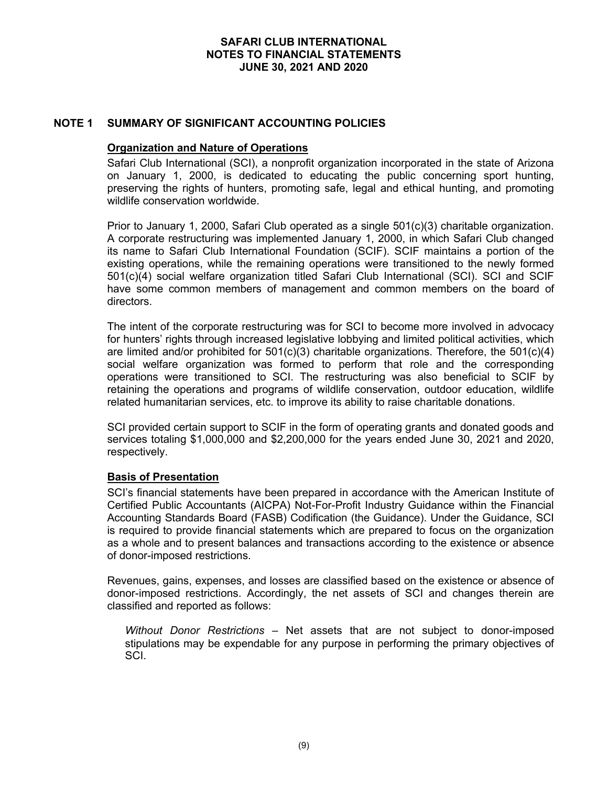### **NOTE 1 SUMMARY OF SIGNIFICANT ACCOUNTING POLICIES**

#### **Organization and Nature of Operations**

Safari Club International (SCI), a nonprofit organization incorporated in the state of Arizona on January 1, 2000, is dedicated to educating the public concerning sport hunting, preserving the rights of hunters, promoting safe, legal and ethical hunting, and promoting wildlife conservation worldwide.

Prior to January 1, 2000, Safari Club operated as a single 501(c)(3) charitable organization. A corporate restructuring was implemented January 1, 2000, in which Safari Club changed its name to Safari Club International Foundation (SCIF). SCIF maintains a portion of the existing operations, while the remaining operations were transitioned to the newly formed 501(c)(4) social welfare organization titled Safari Club International (SCI). SCI and SCIF have some common members of management and common members on the board of directors.

The intent of the corporate restructuring was for SCI to become more involved in advocacy for hunters' rights through increased legislative lobbying and limited political activities, which are limited and/or prohibited for  $501(c)(3)$  charitable organizations. Therefore, the  $501(c)(4)$ social welfare organization was formed to perform that role and the corresponding operations were transitioned to SCI. The restructuring was also beneficial to SCIF by retaining the operations and programs of wildlife conservation, outdoor education, wildlife related humanitarian services, etc. to improve its ability to raise charitable donations.

SCI provided certain support to SCIF in the form of operating grants and donated goods and services totaling \$1,000,000 and \$2,200,000 for the years ended June 30, 2021 and 2020, respectively.

# **Basis of Presentation**

SCI's financial statements have been prepared in accordance with the American Institute of Certified Public Accountants (AICPA) Not-For-Profit Industry Guidance within the Financial Accounting Standards Board (FASB) Codification (the Guidance). Under the Guidance, SCI is required to provide financial statements which are prepared to focus on the organization as a whole and to present balances and transactions according to the existence or absence of donor-imposed restrictions.

Revenues, gains, expenses, and losses are classified based on the existence or absence of donor-imposed restrictions. Accordingly, the net assets of SCI and changes therein are classified and reported as follows:

*Without Donor Restrictions* – Net assets that are not subject to donor-imposed stipulations may be expendable for any purpose in performing the primary objectives of SCI.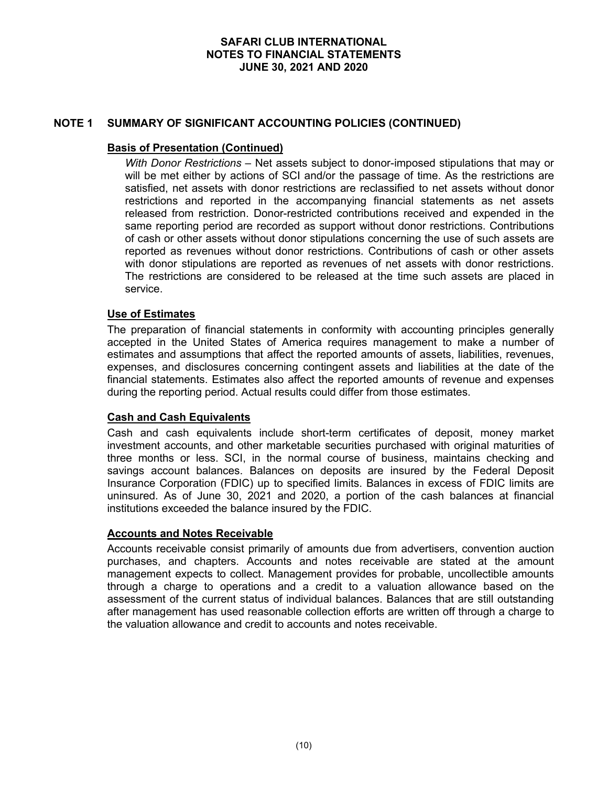## **NOTE 1 SUMMARY OF SIGNIFICANT ACCOUNTING POLICIES (CONTINUED)**

#### **Basis of Presentation (Continued)**

*With Donor Restrictions* – Net assets subject to donor-imposed stipulations that may or will be met either by actions of SCI and/or the passage of time. As the restrictions are satisfied, net assets with donor restrictions are reclassified to net assets without donor restrictions and reported in the accompanying financial statements as net assets released from restriction. Donor-restricted contributions received and expended in the same reporting period are recorded as support without donor restrictions. Contributions of cash or other assets without donor stipulations concerning the use of such assets are reported as revenues without donor restrictions. Contributions of cash or other assets with donor stipulations are reported as revenues of net assets with donor restrictions. The restrictions are considered to be released at the time such assets are placed in service.

### **Use of Estimates**

The preparation of financial statements in conformity with accounting principles generally accepted in the United States of America requires management to make a number of estimates and assumptions that affect the reported amounts of assets, liabilities, revenues, expenses, and disclosures concerning contingent assets and liabilities at the date of the financial statements. Estimates also affect the reported amounts of revenue and expenses during the reporting period. Actual results could differ from those estimates.

# **Cash and Cash Equivalents**

Cash and cash equivalents include short-term certificates of deposit, money market investment accounts, and other marketable securities purchased with original maturities of three months or less. SCI, in the normal course of business, maintains checking and savings account balances. Balances on deposits are insured by the Federal Deposit Insurance Corporation (FDIC) up to specified limits. Balances in excess of FDIC limits are uninsured. As of June 30, 2021 and 2020, a portion of the cash balances at financial institutions exceeded the balance insured by the FDIC.

#### **Accounts and Notes Receivable**

Accounts receivable consist primarily of amounts due from advertisers, convention auction purchases, and chapters. Accounts and notes receivable are stated at the amount management expects to collect. Management provides for probable, uncollectible amounts through a charge to operations and a credit to a valuation allowance based on the assessment of the current status of individual balances. Balances that are still outstanding after management has used reasonable collection efforts are written off through a charge to the valuation allowance and credit to accounts and notes receivable.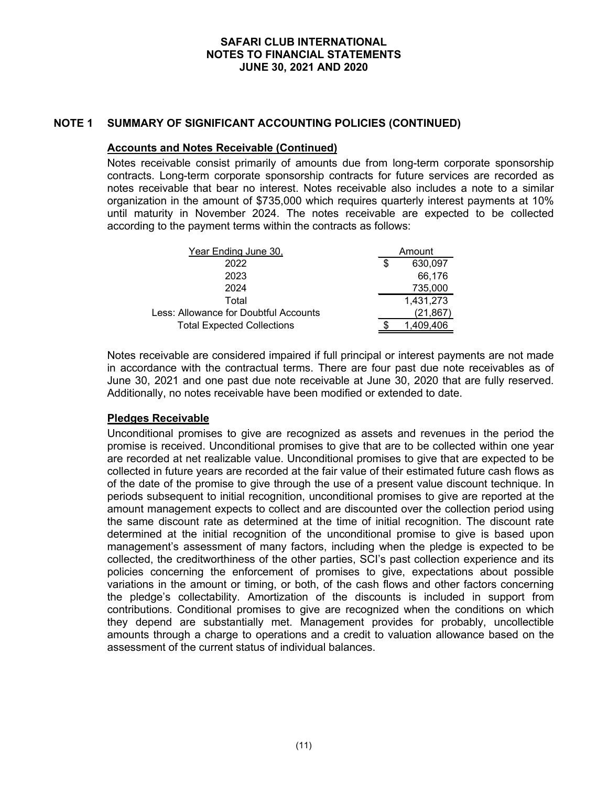## **NOTE 1 SUMMARY OF SIGNIFICANT ACCOUNTING POLICIES (CONTINUED)**

#### **Accounts and Notes Receivable (Continued)**

Notes receivable consist primarily of amounts due from long-term corporate sponsorship contracts. Long-term corporate sponsorship contracts for future services are recorded as notes receivable that bear no interest. Notes receivable also includes a note to a similar organization in the amount of \$735,000 which requires quarterly interest payments at 10% until maturity in November 2024. The notes receivable are expected to be collected according to the payment terms within the contracts as follows:

| Year Ending June 30,                  | Amount |           |  |
|---------------------------------------|--------|-----------|--|
| 2022                                  | S      | 630,097   |  |
| 2023                                  |        | 66,176    |  |
| 2024                                  |        | 735,000   |  |
| Total                                 |        | 1,431,273 |  |
| Less: Allowance for Doubtful Accounts |        | (21,867   |  |
| <b>Total Expected Collections</b>     |        | 1.409.406 |  |

Notes receivable are considered impaired if full principal or interest payments are not made in accordance with the contractual terms. There are four past due note receivables as of June 30, 2021 and one past due note receivable at June 30, 2020 that are fully reserved. Additionally, no notes receivable have been modified or extended to date.

# **Pledges Receivable**

Unconditional promises to give are recognized as assets and revenues in the period the promise is received. Unconditional promises to give that are to be collected within one year are recorded at net realizable value. Unconditional promises to give that are expected to be collected in future years are recorded at the fair value of their estimated future cash flows as of the date of the promise to give through the use of a present value discount technique. In periods subsequent to initial recognition, unconditional promises to give are reported at the amount management expects to collect and are discounted over the collection period using the same discount rate as determined at the time of initial recognition. The discount rate determined at the initial recognition of the unconditional promise to give is based upon management's assessment of many factors, including when the pledge is expected to be collected, the creditworthiness of the other parties, SCI's past collection experience and its policies concerning the enforcement of promises to give, expectations about possible variations in the amount or timing, or both, of the cash flows and other factors concerning the pledge's collectability. Amortization of the discounts is included in support from contributions. Conditional promises to give are recognized when the conditions on which they depend are substantially met. Management provides for probably, uncollectible amounts through a charge to operations and a credit to valuation allowance based on the assessment of the current status of individual balances.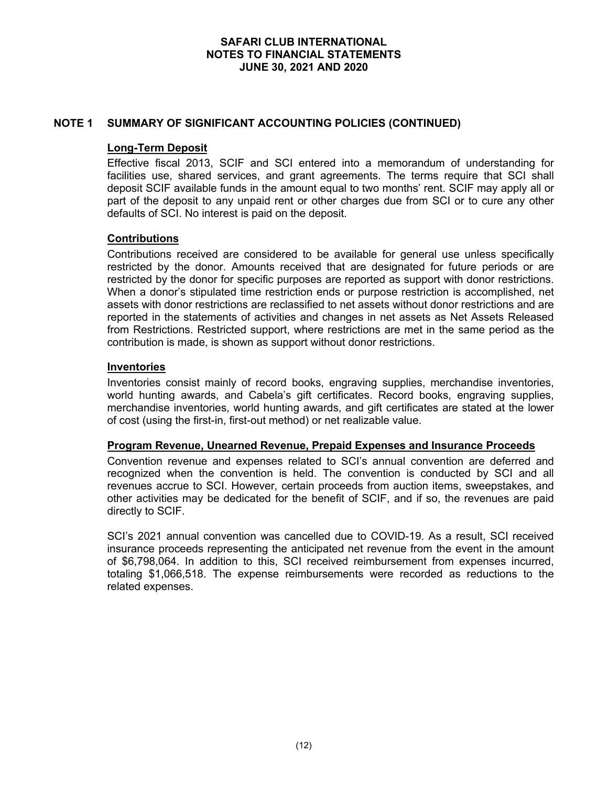## **NOTE 1 SUMMARY OF SIGNIFICANT ACCOUNTING POLICIES (CONTINUED)**

#### **Long-Term Deposit**

Effective fiscal 2013, SCIF and SCI entered into a memorandum of understanding for facilities use, shared services, and grant agreements. The terms require that SCI shall deposit SCIF available funds in the amount equal to two months' rent. SCIF may apply all or part of the deposit to any unpaid rent or other charges due from SCI or to cure any other defaults of SCI. No interest is paid on the deposit.

### **Contributions**

Contributions received are considered to be available for general use unless specifically restricted by the donor. Amounts received that are designated for future periods or are restricted by the donor for specific purposes are reported as support with donor restrictions. When a donor's stipulated time restriction ends or purpose restriction is accomplished, net assets with donor restrictions are reclassified to net assets without donor restrictions and are reported in the statements of activities and changes in net assets as Net Assets Released from Restrictions. Restricted support, where restrictions are met in the same period as the contribution is made, is shown as support without donor restrictions.

### **Inventories**

Inventories consist mainly of record books, engraving supplies, merchandise inventories, world hunting awards, and Cabela's gift certificates. Record books, engraving supplies, merchandise inventories, world hunting awards, and gift certificates are stated at the lower of cost (using the first-in, first-out method) or net realizable value.

#### **Program Revenue, Unearned Revenue, Prepaid Expenses and Insurance Proceeds**

Convention revenue and expenses related to SCI's annual convention are deferred and recognized when the convention is held. The convention is conducted by SCI and all revenues accrue to SCI. However, certain proceeds from auction items, sweepstakes, and other activities may be dedicated for the benefit of SCIF, and if so, the revenues are paid directly to SCIF.

SCI's 2021 annual convention was cancelled due to COVID-19. As a result, SCI received insurance proceeds representing the anticipated net revenue from the event in the amount of \$6,798,064. In addition to this, SCI received reimbursement from expenses incurred, totaling \$1,066,518. The expense reimbursements were recorded as reductions to the related expenses.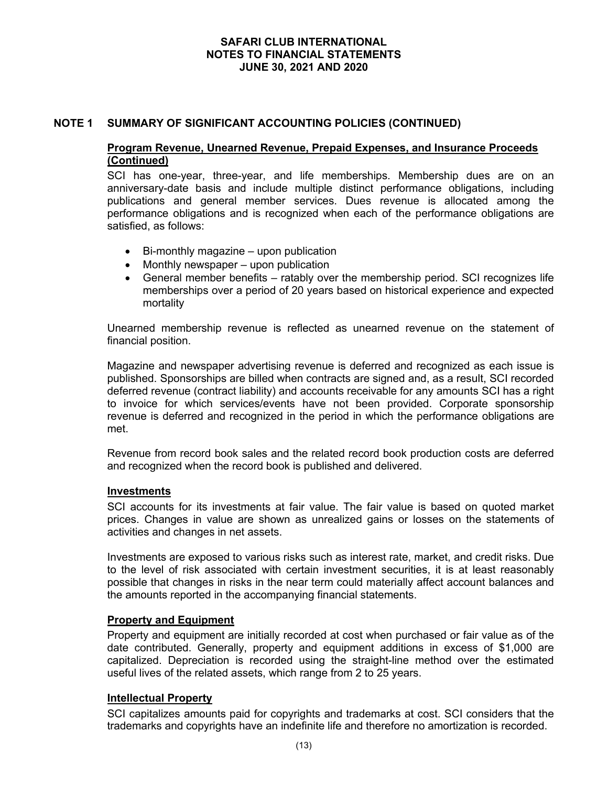# **NOTE 1 SUMMARY OF SIGNIFICANT ACCOUNTING POLICIES (CONTINUED)**

#### **Program Revenue, Unearned Revenue, Prepaid Expenses, and Insurance Proceeds (Continued)**

SCI has one-year, three-year, and life memberships. Membership dues are on an anniversary-date basis and include multiple distinct performance obligations, including publications and general member services. Dues revenue is allocated among the performance obligations and is recognized when each of the performance obligations are satisfied, as follows:

- Bi-monthly magazine upon publication
- Monthly newspaper upon publication
- General member benefits ratably over the membership period. SCI recognizes life memberships over a period of 20 years based on historical experience and expected mortality

Unearned membership revenue is reflected as unearned revenue on the statement of financial position.

Magazine and newspaper advertising revenue is deferred and recognized as each issue is published. Sponsorships are billed when contracts are signed and, as a result, SCI recorded deferred revenue (contract liability) and accounts receivable for any amounts SCI has a right to invoice for which services/events have not been provided. Corporate sponsorship revenue is deferred and recognized in the period in which the performance obligations are met.

Revenue from record book sales and the related record book production costs are deferred and recognized when the record book is published and delivered.

#### **Investments**

SCI accounts for its investments at fair value. The fair value is based on quoted market prices. Changes in value are shown as unrealized gains or losses on the statements of activities and changes in net assets.

Investments are exposed to various risks such as interest rate, market, and credit risks. Due to the level of risk associated with certain investment securities, it is at least reasonably possible that changes in risks in the near term could materially affect account balances and the amounts reported in the accompanying financial statements.

#### **Property and Equipment**

Property and equipment are initially recorded at cost when purchased or fair value as of the date contributed. Generally, property and equipment additions in excess of \$1,000 are capitalized. Depreciation is recorded using the straight-line method over the estimated useful lives of the related assets, which range from 2 to 25 years.

#### **Intellectual Property**

SCI capitalizes amounts paid for copyrights and trademarks at cost. SCI considers that the trademarks and copyrights have an indefinite life and therefore no amortization is recorded.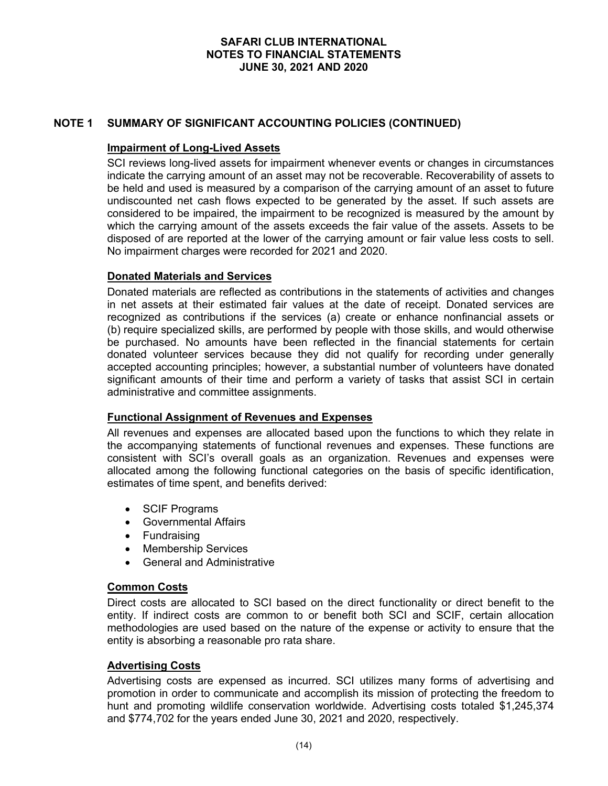# **NOTE 1 SUMMARY OF SIGNIFICANT ACCOUNTING POLICIES (CONTINUED)**

## **Impairment of Long-Lived Assets**

SCI reviews long-lived assets for impairment whenever events or changes in circumstances indicate the carrying amount of an asset may not be recoverable. Recoverability of assets to be held and used is measured by a comparison of the carrying amount of an asset to future undiscounted net cash flows expected to be generated by the asset. If such assets are considered to be impaired, the impairment to be recognized is measured by the amount by which the carrying amount of the assets exceeds the fair value of the assets. Assets to be disposed of are reported at the lower of the carrying amount or fair value less costs to sell. No impairment charges were recorded for 2021 and 2020.

# **Donated Materials and Services**

Donated materials are reflected as contributions in the statements of activities and changes in net assets at their estimated fair values at the date of receipt. Donated services are recognized as contributions if the services (a) create or enhance nonfinancial assets or (b) require specialized skills, are performed by people with those skills, and would otherwise be purchased. No amounts have been reflected in the financial statements for certain donated volunteer services because they did not qualify for recording under generally accepted accounting principles; however, a substantial number of volunteers have donated significant amounts of their time and perform a variety of tasks that assist SCI in certain administrative and committee assignments.

# **Functional Assignment of Revenues and Expenses**

All revenues and expenses are allocated based upon the functions to which they relate in the accompanying statements of functional revenues and expenses. These functions are consistent with SCI's overall goals as an organization. Revenues and expenses were allocated among the following functional categories on the basis of specific identification, estimates of time spent, and benefits derived:

- SCIF Programs
- Governmental Affairs
- Fundraising
- Membership Services
- General and Administrative

# **Common Costs**

Direct costs are allocated to SCI based on the direct functionality or direct benefit to the entity. If indirect costs are common to or benefit both SCI and SCIF, certain allocation methodologies are used based on the nature of the expense or activity to ensure that the entity is absorbing a reasonable pro rata share.

# **Advertising Costs**

Advertising costs are expensed as incurred. SCI utilizes many forms of advertising and promotion in order to communicate and accomplish its mission of protecting the freedom to hunt and promoting wildlife conservation worldwide. Advertising costs totaled \$1,245,374 and \$774,702 for the years ended June 30, 2021 and 2020, respectively.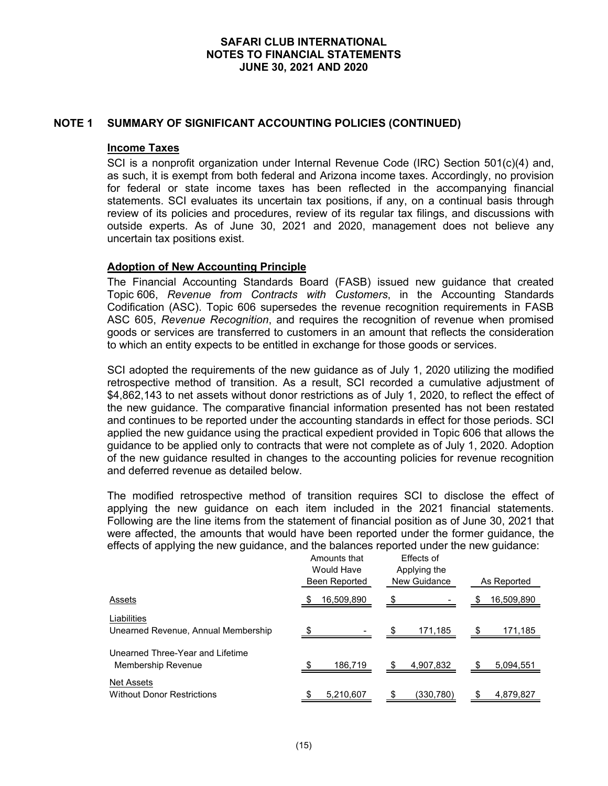#### **NOTE 1 SUMMARY OF SIGNIFICANT ACCOUNTING POLICIES (CONTINUED)**

### **Income Taxes**

SCI is a nonprofit organization under Internal Revenue Code (IRC) Section 501(c)(4) and, as such, it is exempt from both federal and Arizona income taxes. Accordingly, no provision for federal or state income taxes has been reflected in the accompanying financial statements. SCI evaluates its uncertain tax positions, if any, on a continual basis through review of its policies and procedures, review of its regular tax filings, and discussions with outside experts. As of June 30, 2021 and 2020, management does not believe any uncertain tax positions exist.

### **Adoption of New Accounting Principle**

The Financial Accounting Standards Board (FASB) issued new guidance that created Topic 606, *Revenue from Contracts with Customers*, in the Accounting Standards Codification (ASC). Topic 606 supersedes the revenue recognition requirements in FASB ASC 605, *Revenue Recognition*, and requires the recognition of revenue when promised goods or services are transferred to customers in an amount that reflects the consideration to which an entity expects to be entitled in exchange for those goods or services.

SCI adopted the requirements of the new guidance as of July 1, 2020 utilizing the modified retrospective method of transition. As a result, SCI recorded a cumulative adjustment of \$4,862,143 to net assets without donor restrictions as of July 1, 2020, to reflect the effect of the new guidance. The comparative financial information presented has not been restated and continues to be reported under the accounting standards in effect for those periods. SCI applied the new guidance using the practical expedient provided in Topic 606 that allows the guidance to be applied only to contracts that were not complete as of July 1, 2020. Adoption of the new guidance resulted in changes to the accounting policies for revenue recognition and deferred revenue as detailed below.

The modified retrospective method of transition requires SCI to disclose the effect of applying the new guidance on each item included in the 2021 financial statements. Following are the line items from the statement of financial position as of June 30, 2021 that were affected, the amounts that would have been reported under the former guidance, the effects of applying the new guidance, and the balances reported under the new guidance:

|                                                        | Amounts that<br>Would Have<br>Been Reported |            | Effects of<br>Applying the<br><b>New Guidance</b> | As Reported |            |
|--------------------------------------------------------|---------------------------------------------|------------|---------------------------------------------------|-------------|------------|
| Assets                                                 |                                             | 16,509,890 |                                                   |             | 16,509,890 |
| Liabilities<br>Unearned Revenue, Annual Membership     |                                             |            | 171,185                                           |             | 171,185    |
| Unearned Three-Year and Lifetime<br>Membership Revenue |                                             | 186,719    | 4,907,832                                         |             | 5,094,551  |
| <b>Net Assets</b><br><b>Without Donor Restrictions</b> |                                             | 5,210,607  | (330, 780)                                        |             | 4,879,827  |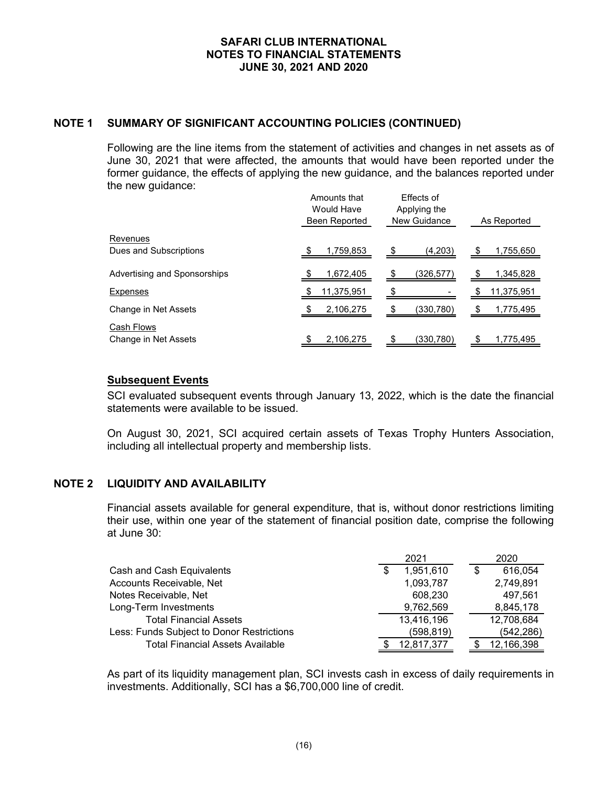# **NOTE 1 SUMMARY OF SIGNIFICANT ACCOUNTING POLICIES (CONTINUED)**

Following are the line items from the statement of activities and changes in net assets as of June 30, 2021 that were affected, the amounts that would have been reported under the former guidance, the effects of applying the new guidance, and the balances reported under the new guidance:

|                                    | Amounts that<br>Would Have<br>Been Reported | Effects of<br>Applying the<br><b>New Guidance</b> | As Reported |  |  |
|------------------------------------|---------------------------------------------|---------------------------------------------------|-------------|--|--|
| Revenues                           |                                             |                                                   |             |  |  |
| Dues and Subscriptions             | 1,759,853                                   | (4,203)                                           | 1,755,650   |  |  |
| Advertising and Sponsorships       | 1,672,405                                   | (326,577)                                         | 1,345,828   |  |  |
| Expenses                           | 11,375,951                                  |                                                   | 11,375,951  |  |  |
| Change in Net Assets               | 2,106,275                                   | (330, 780)                                        | 1,775,495   |  |  |
| Cash Flows<br>Change in Net Assets | 2,106,275                                   | (330,780)                                         | 1,775,495   |  |  |

#### **Subsequent Events**

SCI evaluated subsequent events through January 13, 2022, which is the date the financial statements were available to be issued.

On August 30, 2021, SCI acquired certain assets of Texas Trophy Hunters Association, including all intellectual property and membership lists.

# **NOTE 2 LIQUIDITY AND AVAILABILITY**

Financial assets available for general expenditure, that is, without donor restrictions limiting their use, within one year of the statement of financial position date, comprise the following at June 30:

|                                           | 2021            | 2020       |
|-------------------------------------------|-----------------|------------|
| Cash and Cash Equivalents                 | \$<br>1,951,610 | 616,054    |
| Accounts Receivable, Net                  | 1,093,787       | 2,749,891  |
| Notes Receivable, Net                     | 608,230         | 497.561    |
| Long-Term Investments                     | 9,762,569       | 8,845,178  |
| <b>Total Financial Assets</b>             | 13,416,196      | 12,708,684 |
| Less: Funds Subject to Donor Restrictions | (598, 819)      | (542, 286) |
| <b>Total Financial Assets Available</b>   | 12,817,377      | 12,166,398 |

As part of its liquidity management plan, SCI invests cash in excess of daily requirements in investments. Additionally, SCI has a \$6,700,000 line of credit.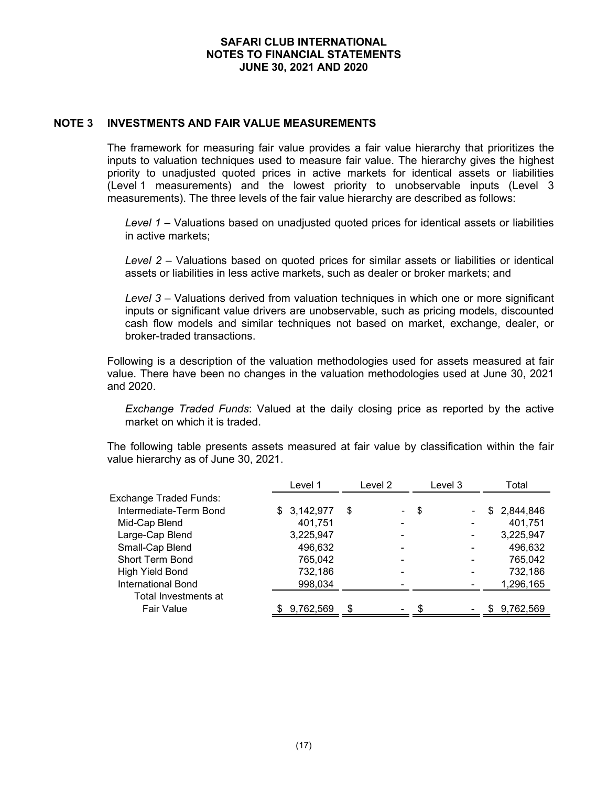#### **NOTE 3 INVESTMENTS AND FAIR VALUE MEASUREMENTS**

The framework for measuring fair value provides a fair value hierarchy that prioritizes the inputs to valuation techniques used to measure fair value. The hierarchy gives the highest priority to unadjusted quoted prices in active markets for identical assets or liabilities (Level 1 measurements) and the lowest priority to unobservable inputs (Level 3 measurements). The three levels of the fair value hierarchy are described as follows:

*Level 1* – Valuations based on unadjusted quoted prices for identical assets or liabilities in active markets;

*Level 2* – Valuations based on quoted prices for similar assets or liabilities or identical assets or liabilities in less active markets, such as dealer or broker markets; and

*Level 3* – Valuations derived from valuation techniques in which one or more significant inputs or significant value drivers are unobservable, such as pricing models, discounted cash flow models and similar techniques not based on market, exchange, dealer, or broker-traded transactions.

Following is a description of the valuation methodologies used for assets measured at fair value. There have been no changes in the valuation methodologies used at June 30, 2021 and 2020.

*Exchange Traded Funds*: Valued at the daily closing price as reported by the active market on which it is traded.

The following table presents assets measured at fair value by classification within the fair value hierarchy as of June 30, 2021.

|                        | Level 1     | Level 2 | Level 3 | Total        |
|------------------------|-------------|---------|---------|--------------|
| Exchange Traded Funds: |             |         |         |              |
| Intermediate-Term Bond | \$3,142,977 | \$      | \$      | \$ 2,844,846 |
| Mid-Cap Blend          | 401,751     |         |         | 401,751      |
| Large-Cap Blend        | 3,225,947   |         |         | 3,225,947    |
| Small-Cap Blend        | 496,632     |         |         | 496,632      |
| <b>Short Term Bond</b> | 765,042     |         |         | 765,042      |
| High Yield Bond        | 732,186     |         |         | 732,186      |
| International Bond     | 998,034     |         |         | 1,296,165    |
| Total Investments at   |             |         |         |              |
| Fair Value             | 9,762,569   | \$      |         | 9,762,569    |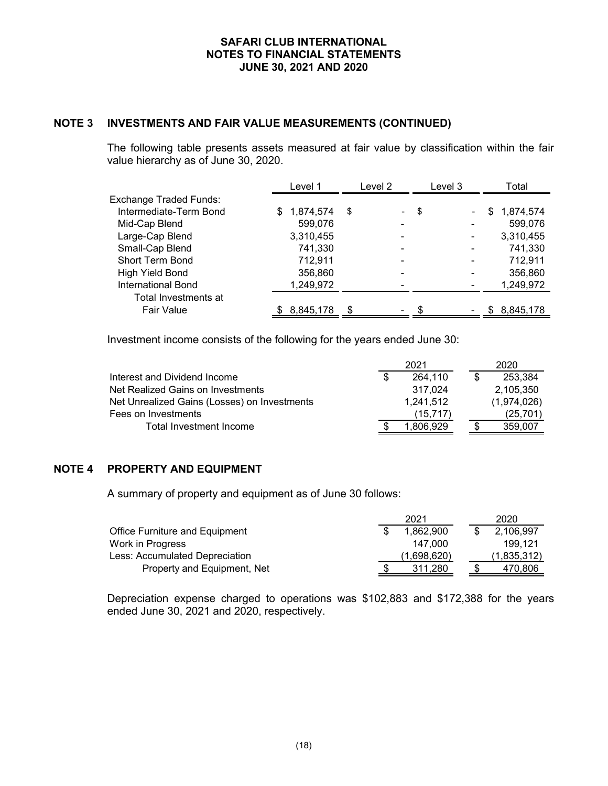### **NOTE 3 INVESTMENTS AND FAIR VALUE MEASUREMENTS (CONTINUED)**

The following table presents assets measured at fair value by classification within the fair value hierarchy as of June 30, 2020.

|                               | Level 1         |     | Level 2 |    | Level 3 |   | Total       |  |
|-------------------------------|-----------------|-----|---------|----|---------|---|-------------|--|
| <b>Exchange Traded Funds:</b> |                 |     |         |    |         |   |             |  |
| Intermediate-Term Bond        | 1,874,574<br>S. | -\$ |         | \$ | $\sim$  |   | \$1,874,574 |  |
| Mid-Cap Blend                 | 599,076         |     |         |    |         |   | 599,076     |  |
| Large-Cap Blend               | 3,310,455       |     |         |    |         |   | 3,310,455   |  |
| Small-Cap Blend               | 741,330         |     |         |    |         |   | 741,330     |  |
| Short Term Bond               | 712,911         |     |         |    |         |   | 712,911     |  |
| <b>High Yield Bond</b>        | 356,860         |     |         |    |         |   | 356,860     |  |
| <b>International Bond</b>     | 1,249,972       |     |         |    |         |   | 1,249,972   |  |
| Total Investments at          |                 |     |         |    |         |   |             |  |
| <b>Fair Value</b>             | 8,845,178       |     |         |    |         | S | 8,845,178   |  |

Investment income consists of the following for the years ended June 30:

|                                              | 2021 |           |  | 2020        |  |
|----------------------------------------------|------|-----------|--|-------------|--|
| Interest and Dividend Income                 |      | 264,110   |  | 253,384     |  |
| Net Realized Gains on Investments            |      | 317.024   |  | 2,105,350   |  |
| Net Unrealized Gains (Losses) on Investments |      | 1.241.512 |  | (1,974,026) |  |
| Fees on Investments                          |      | (15.717)  |  | (25, 701)   |  |
| Total Investment Income                      |      | 1.806.929 |  | 359.007     |  |

# **NOTE 4 PROPERTY AND EQUIPMENT**

A summary of property and equipment as of June 30 follows:

|                                       | 2021 |             |  | 2020 |             |  |
|---------------------------------------|------|-------------|--|------|-------------|--|
| <b>Office Furniture and Equipment</b> |      | 1.862.900   |  |      | 2.106.997   |  |
| Work in Progress                      |      | 147.000     |  |      | 199.121     |  |
| Less: Accumulated Depreciation        |      | (1,698,620) |  |      | (1,835,312) |  |
| Property and Equipment, Net           | \$   | 311.280     |  |      | 470,806     |  |

Depreciation expense charged to operations was \$102,883 and \$172,388 for the years ended June 30, 2021 and 2020, respectively.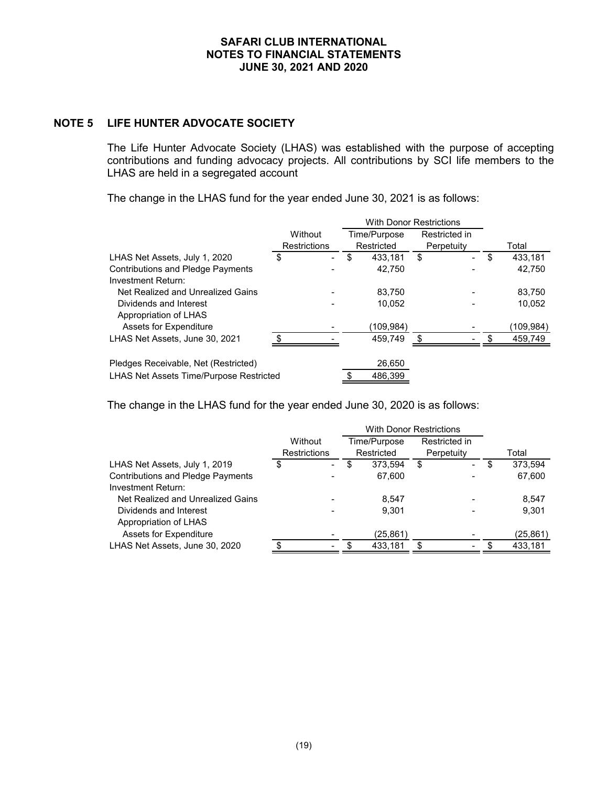### **NOTE 5 LIFE HUNTER ADVOCATE SOCIETY**

The Life Hunter Advocate Society (LHAS) was established with the purpose of accepting contributions and funding advocacy projects. All contributions by SCI life members to the LHAS are held in a segregated account

The change in the LHAS fund for the year ended June 30, 2021 is as follows:

|                                                |         |                     | <b>With Donor Restrictions</b> |               |                |     |           |
|------------------------------------------------|---------|---------------------|--------------------------------|---------------|----------------|-----|-----------|
|                                                | Without |                     | Time/Purpose                   | Restricted in |                |     |           |
|                                                |         | <b>Restrictions</b> | Restricted                     |               | Perpetuity     |     | Total     |
| LHAS Net Assets, July 1, 2020                  | S       |                     | \$<br>433.181                  | \$            | $\blacksquare$ | \$  | 433,181   |
| Contributions and Pledge Payments              |         |                     | 42,750                         |               |                |     | 42,750    |
| Investment Return:                             |         |                     |                                |               |                |     |           |
| Net Realized and Unrealized Gains              |         |                     | 83.750                         |               |                |     | 83,750    |
| Dividends and Interest                         |         |                     | 10,052                         |               |                |     | 10,052    |
| Appropriation of LHAS                          |         |                     |                                |               |                |     |           |
| Assets for Expenditure                         |         |                     | (109.984)                      |               |                |     | (109,984) |
| LHAS Net Assets, June 30, 2021                 |         |                     | 459.749                        |               |                | \$. | 459,749   |
|                                                |         |                     |                                |               |                |     |           |
| Pledges Receivable, Net (Restricted)           |         |                     | 26,650                         |               |                |     |           |
| <b>LHAS Net Assets Time/Purpose Restricted</b> |         |                     | 486.399                        |               |                |     |           |

The change in the LHAS fund for the year ended June 30, 2020 is as follows:

|                                          | <b>With Donor Restrictions</b> |                     |    |              |    |               |               |
|------------------------------------------|--------------------------------|---------------------|----|--------------|----|---------------|---------------|
|                                          |                                | Without             |    | Time/Purpose |    | Restricted in |               |
|                                          |                                | <b>Restrictions</b> |    | Restricted   |    | Perpetuity    | Total         |
| LHAS Net Assets, July 1, 2019            | \$                             | $\blacksquare$      | \$ | 373.594      | \$ | $\sim$        | \$<br>373,594 |
| <b>Contributions and Pledge Payments</b> |                                |                     |    | 67.600       |    |               | 67,600        |
| Investment Return:                       |                                |                     |    |              |    |               |               |
| Net Realized and Unrealized Gains        |                                |                     |    | 8.547        |    |               | 8,547         |
| Dividends and Interest                   |                                |                     |    | 9.301        |    |               | 9,301         |
| Appropriation of LHAS                    |                                |                     |    |              |    |               |               |
| Assets for Expenditure                   |                                |                     |    | (25, 861)    |    |               | (25,861)      |
| LHAS Net Assets, June 30, 2020           |                                |                     |    | 433,181      |    |               | 433,181       |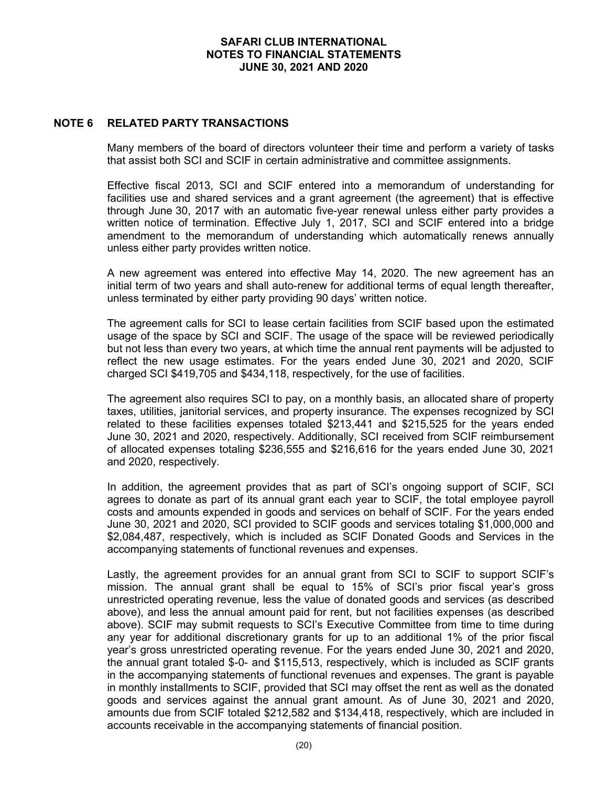### **NOTE 6 RELATED PARTY TRANSACTIONS**

Many members of the board of directors volunteer their time and perform a variety of tasks that assist both SCI and SCIF in certain administrative and committee assignments.

Effective fiscal 2013, SCI and SCIF entered into a memorandum of understanding for facilities use and shared services and a grant agreement (the agreement) that is effective through June 30, 2017 with an automatic five-year renewal unless either party provides a written notice of termination. Effective July 1, 2017, SCI and SCIF entered into a bridge amendment to the memorandum of understanding which automatically renews annually unless either party provides written notice.

A new agreement was entered into effective May 14, 2020. The new agreement has an initial term of two years and shall auto-renew for additional terms of equal length thereafter, unless terminated by either party providing 90 days' written notice.

The agreement calls for SCI to lease certain facilities from SCIF based upon the estimated usage of the space by SCI and SCIF. The usage of the space will be reviewed periodically but not less than every two years, at which time the annual rent payments will be adjusted to reflect the new usage estimates. For the years ended June 30, 2021 and 2020, SCIF charged SCI \$419,705 and \$434,118, respectively, for the use of facilities.

The agreement also requires SCI to pay, on a monthly basis, an allocated share of property taxes, utilities, janitorial services, and property insurance. The expenses recognized by SCI related to these facilities expenses totaled \$213,441 and \$215,525 for the years ended June 30, 2021 and 2020, respectively. Additionally, SCI received from SCIF reimbursement of allocated expenses totaling \$236,555 and \$216,616 for the years ended June 30, 2021 and 2020, respectively.

In addition, the agreement provides that as part of SCI's ongoing support of SCIF, SCI agrees to donate as part of its annual grant each year to SCIF, the total employee payroll costs and amounts expended in goods and services on behalf of SCIF. For the years ended June 30, 2021 and 2020, SCI provided to SCIF goods and services totaling \$1,000,000 and \$2,084,487, respectively, which is included as SCIF Donated Goods and Services in the accompanying statements of functional revenues and expenses.

Lastly, the agreement provides for an annual grant from SCI to SCIF to support SCIF's mission. The annual grant shall be equal to 15% of SCI's prior fiscal year's gross unrestricted operating revenue, less the value of donated goods and services (as described above), and less the annual amount paid for rent, but not facilities expenses (as described above). SCIF may submit requests to SCI's Executive Committee from time to time during any year for additional discretionary grants for up to an additional 1% of the prior fiscal year's gross unrestricted operating revenue. For the years ended June 30, 2021 and 2020, the annual grant totaled \$-0- and \$115,513, respectively, which is included as SCIF grants in the accompanying statements of functional revenues and expenses. The grant is payable in monthly installments to SCIF, provided that SCI may offset the rent as well as the donated goods and services against the annual grant amount. As of June 30, 2021 and 2020, amounts due from SCIF totaled \$212,582 and \$134,418, respectively, which are included in accounts receivable in the accompanying statements of financial position.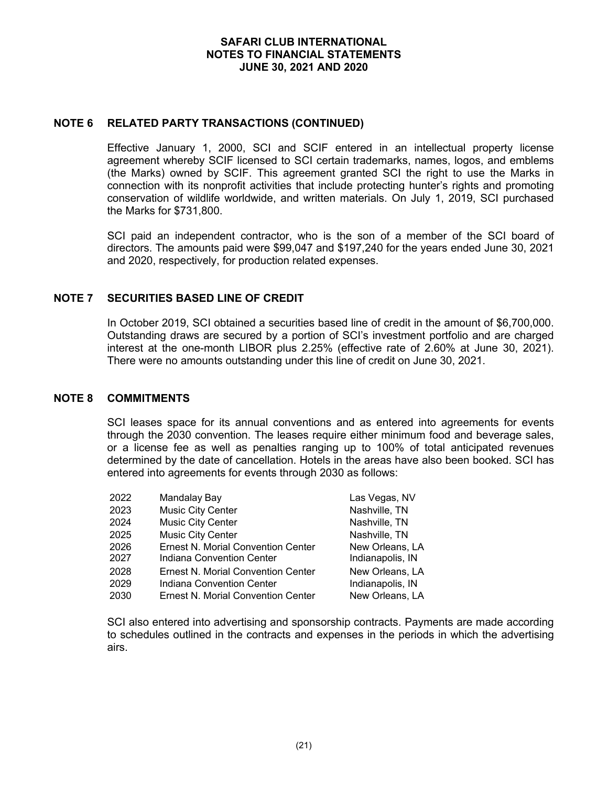### **NOTE 6 RELATED PARTY TRANSACTIONS (CONTINUED)**

Effective January 1, 2000, SCI and SCIF entered in an intellectual property license agreement whereby SCIF licensed to SCI certain trademarks, names, logos, and emblems (the Marks) owned by SCIF. This agreement granted SCI the right to use the Marks in connection with its nonprofit activities that include protecting hunter's rights and promoting conservation of wildlife worldwide, and written materials. On July 1, 2019, SCI purchased the Marks for \$731,800.

SCI paid an independent contractor, who is the son of a member of the SCI board of directors. The amounts paid were \$99,047 and \$197,240 for the years ended June 30, 2021 and 2020, respectively, for production related expenses.

### **NOTE 7 SECURITIES BASED LINE OF CREDIT**

In October 2019, SCI obtained a securities based line of credit in the amount of \$6,700,000. Outstanding draws are secured by a portion of SCI's investment portfolio and are charged interest at the one-month LIBOR plus 2.25% (effective rate of 2.60% at June 30, 2021). There were no amounts outstanding under this line of credit on June 30, 2021.

#### **NOTE 8 COMMITMENTS**

SCI leases space for its annual conventions and as entered into agreements for events through the 2030 convention. The leases require either minimum food and beverage sales, or a license fee as well as penalties ranging up to 100% of total anticipated revenues determined by the date of cancellation. Hotels in the areas have also been booked. SCI has entered into agreements for events through 2030 as follows:

| 2022         | Mandalay Bay                                                           | Las Vegas, NV                       |
|--------------|------------------------------------------------------------------------|-------------------------------------|
| 2023         | Music City Center                                                      | Nashville, TN                       |
| 2024         | Music City Center                                                      | Nashville, TN                       |
| 2025         | Music City Center                                                      | Nashville, TN                       |
| 2026<br>2027 | <b>Ernest N. Morial Convention Center</b><br>Indiana Convention Center | New Orleans, LA<br>Indianapolis, IN |
| 2028         | Ernest N. Morial Convention Center                                     | New Orleans, LA                     |
| 2029         | Indiana Convention Center                                              | Indianapolis, IN                    |
| 2030         | <b>Ernest N. Morial Convention Center</b>                              | New Orleans, LA                     |
|              |                                                                        |                                     |

SCI also entered into advertising and sponsorship contracts. Payments are made according to schedules outlined in the contracts and expenses in the periods in which the advertising airs.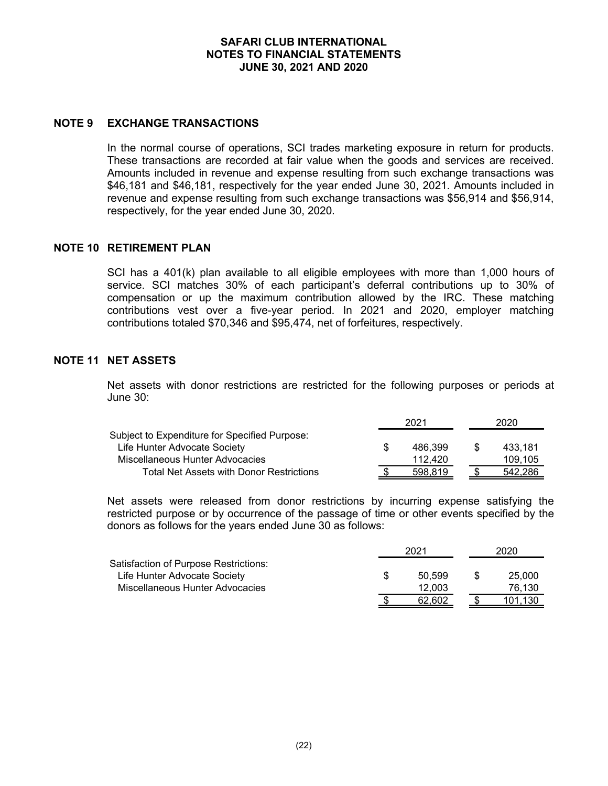### **NOTE 9 EXCHANGE TRANSACTIONS**

In the normal course of operations, SCI trades marketing exposure in return for products. These transactions are recorded at fair value when the goods and services are received. Amounts included in revenue and expense resulting from such exchange transactions was \$46,181 and \$46,181, respectively for the year ended June 30, 2021. Amounts included in revenue and expense resulting from such exchange transactions was \$56,914 and \$56,914, respectively, for the year ended June 30, 2020.

### **NOTE 10 RETIREMENT PLAN**

SCI has a 401(k) plan available to all eligible employees with more than 1,000 hours of service. SCI matches 30% of each participant's deferral contributions up to 30% of compensation or up the maximum contribution allowed by the IRC. These matching contributions vest over a five-year period. In 2021 and 2020, employer matching contributions totaled \$70,346 and \$95,474, net of forfeitures, respectively.

# **NOTE 11 NET ASSETS**

Net assets with donor restrictions are restricted for the following purposes or periods at June 30:

|                                               | 2021    | 2020    |  |  |
|-----------------------------------------------|---------|---------|--|--|
| Subject to Expenditure for Specified Purpose: |         |         |  |  |
| Life Hunter Advocate Society                  | 486.399 | 433.181 |  |  |
| Miscellaneous Hunter Advocacies               | 112.420 | 109.105 |  |  |
| Total Net Assets with Donor Restrictions      | 598.819 | 542.286 |  |  |

Net assets were released from donor restrictions by incurring expense satisfying the restricted purpose or by occurrence of the passage of time or other events specified by the donors as follows for the years ended June 30 as follows:

|                                       | 2021   |  |         |
|---------------------------------------|--------|--|---------|
| Satisfaction of Purpose Restrictions: |        |  |         |
| Life Hunter Advocate Society          | 50.599 |  | 25,000  |
| Miscellaneous Hunter Advocacies       | 12.003 |  | 76.130  |
|                                       | 62.602 |  | 101.130 |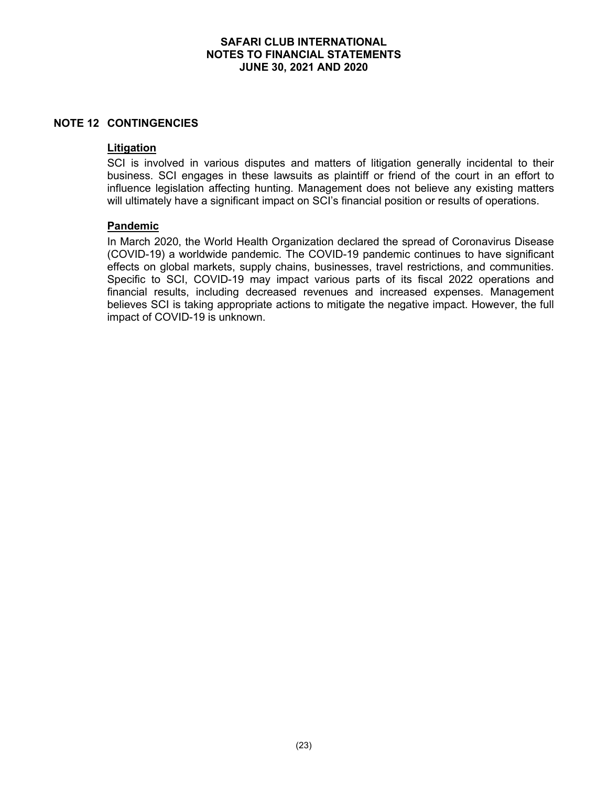### **NOTE 12 CONTINGENCIES**

#### **Litigation**

SCI is involved in various disputes and matters of litigation generally incidental to their business. SCI engages in these lawsuits as plaintiff or friend of the court in an effort to influence legislation affecting hunting. Management does not believe any existing matters will ultimately have a significant impact on SCI's financial position or results of operations.

### **Pandemic**

In March 2020, the World Health Organization declared the spread of Coronavirus Disease (COVID-19) a worldwide pandemic. The COVID-19 pandemic continues to have significant effects on global markets, supply chains, businesses, travel restrictions, and communities. Specific to SCI, COVID-19 may impact various parts of its fiscal 2022 operations and financial results, including decreased revenues and increased expenses. Management believes SCI is taking appropriate actions to mitigate the negative impact. However, the full impact of COVID-19 is unknown.